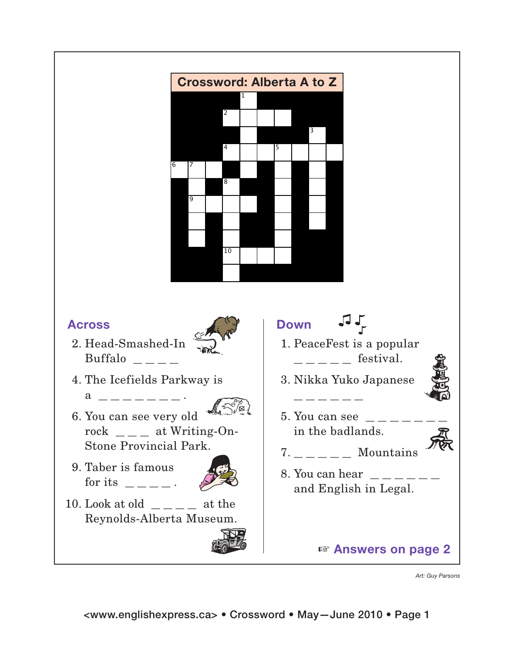

*Art: Guy Parsons*